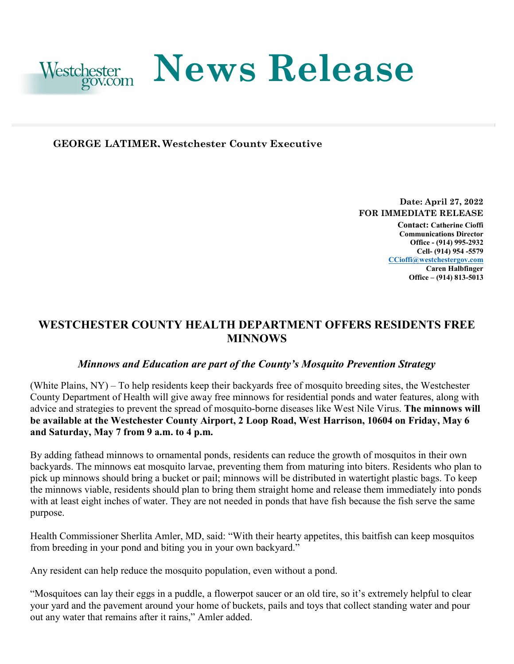

## **GEORGE LATIMER, Westchester County Executive**

**Date: April 27, 2022 FOR IMMEDIATE RELEASE** 

**Contact: Catherine Cioffi Communications Director Office - (914) 995-2932 Cell- (914) 954 -5579 [CCioffi@westchestergov.com](mailto:CCioffi@westchestergov.com)  Caren Halbfinger Office – (914) 813-5013** 

## **WESTCHESTER COUNTY HEALTH DEPARTMENT OFFERS RESIDENTS FREE MINNOWS**

## *Minnows and Education are part of the County's Mosquito Prevention Strategy*

 (White Plains, NY) – To help residents keep their backyards free of mosquito breeding sites, the Westchester County Department of Health will give away free minnows for residential ponds and water features, along with advice and strategies to prevent the spread of mosquito-borne diseases like West Nile Virus. **The minnows will be available at the Westchester County Airport, 2 Loop Road, West Harrison, 10604 on Friday, May 6 and Saturday, May 7 from 9 a.m. to 4 p.m.** 

 the minnows viable, residents should plan to bring them straight home and release them immediately into ponds By adding fathead minnows to ornamental ponds, residents can reduce the growth of mosquitos in their own backyards. The minnows eat mosquito larvae, preventing them from maturing into biters. Residents who plan to pick up minnows should bring a bucket or pail; minnows will be distributed in watertight plastic bags. To keep with at least eight inches of water. They are not needed in ponds that have fish because the fish serve the same purpose.

 Health Commissioner Sherlita Amler, MD, said: "With their hearty appetites, this baitfish can keep mosquitos from breeding in your pond and biting you in your own backyard."

Any resident can help reduce the mosquito population, even without a pond.

 your yard and the pavement around your home of buckets, pails and toys that collect standing water and pour "Mosquitoes can lay their eggs in a puddle, a flowerpot saucer or an old tire, so it's extremely helpful to clear out any water that remains after it rains," Amler added.